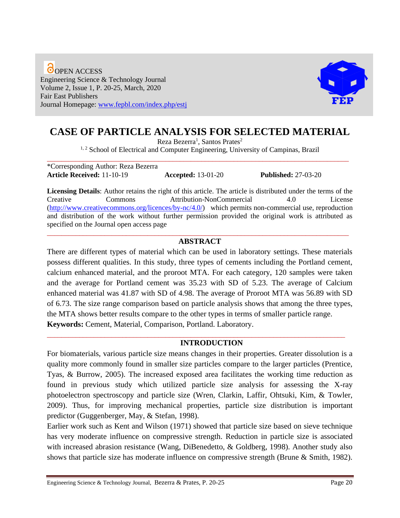**O**OPEN ACCESS Engineering Science & Technology Journal Volume 2, Issue 1, P. 20-25, March, 2020 Fair East Publishers Journal Homepage: [www.fepbl.com/index.php/estj](http://www.fepbl.com/index.php/estj)



# **CASE OF PARTICLE ANALYSIS FOR SELECTED MATERIAL**

Reza Bezerra<sup>1</sup>, Santos Prates<sup>2</sup>

<sup>1, 2</sup> School of Electrical and Computer Engineering, University of Campinas, Brazil \_\_\_\_\_\_\_\_\_\_\_\_\_\_\_\_\_\_\_\_\_\_\_\_\_\_\_\_\_\_\_\_\_\_\_\_\_\_\_\_\_\_\_\_\_\_\_\_\_\_\_\_\_\_\_\_\_\_\_\_\_\_\_\_\_\_\_\_\_\_\_\_\_\_\_\_\_\_\_\_\_\_\_\_

\*Corresponding Author: Reza Bezerra **Article Received:** 11-10-19 **Accepted:** 13-01-20 **Published:** 27-03-20

**Licensing Details**: Author retains the right of this article. The article is distributed under the terms of the Creative Commons Attribution-NonCommercial 4.0 License [\(http://www.creativecommons.org/licences/by-nc/4.0/\)](http://www.creativecommons.org/licences/by-nc/4.0/) which permits non-commercial use, reproduction and distribution of the work without further permission provided the original work is attributed as specified on the Journal open access page \_\_\_\_\_\_\_\_\_\_\_\_\_\_\_\_\_\_\_\_\_\_\_\_\_\_\_\_\_\_\_\_\_\_\_\_\_\_\_\_\_\_\_\_\_\_\_\_\_\_\_\_\_\_\_\_\_\_\_\_\_\_\_\_\_\_\_\_\_\_\_\_\_\_\_\_\_\_\_\_\_\_\_\_

## **ABSTRACT**

There are different types of material which can be used in laboratory settings. These materials possess different qualities. In this study, three types of cements including the Portland cement, calcium enhanced material, and the proroot MTA. For each category, 120 samples were taken and the average for Portland cement was 35.23 with SD of 5.23. The average of Calcium enhanced material was 41.87 with SD of 4.98. The average of Proroot MTA was 56.89 with SD of 6.73. The size range comparison based on particle analysis shows that among the three types, the MTA shows better results compare to the other types in terms of smaller particle range. **Keywords:** Cement, Material, Comparison, Portland. Laboratory.

\_\_\_\_\_\_\_\_\_\_\_\_\_\_\_\_\_\_\_\_\_\_\_\_\_\_\_\_\_\_\_\_\_\_\_\_\_\_\_\_\_\_\_\_\_\_\_\_\_\_\_\_\_\_\_\_\_\_\_\_\_\_\_\_\_\_\_\_\_\_\_\_\_\_\_\_\_\_\_\_\_\_\_

## **INTRODUCTION**

For biomaterials, various particle size means changes in their properties. Greater dissolution is a quality more commonly found in smaller size particles compare to the larger particles (Prentice, Tyas, & Burrow, 2005). The increased exposed area facilitates the working time reduction as found in previous study which utilized particle size analysis for assessing the X-ray photoelectron spectroscopy and particle size (Wren, Clarkin, Laffir, Ohtsuki, Kim, & Towler, 2009). Thus, for improving mechanical properties, particle size distribution is important predictor (Guggenberger, May, & Stefan, 1998).

Earlier work such as Kent and Wilson (1971) showed that particle size based on sieve technique has very moderate influence on compressive strength. Reduction in particle size is associated with increased abrasion resistance (Wang, DiBenedetto, & Goldberg, 1998). Another study also shows that particle size has moderate influence on compressive strength (Brune & Smith, 1982).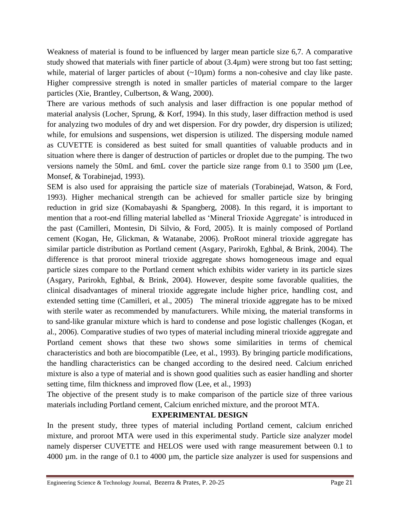Weakness of material is found to be influenced by larger mean particle size 6,7. A comparative study showed that materials with finer particle of about (3.4µm) were strong but too fast setting; while, material of larger particles of about  $(\sim 10 \mu m)$  forms a non-cohesive and clay like paste. Higher compressive strength is noted in smaller particles of material compare to the larger particles (Xie, Brantley, Culbertson, & Wang, 2000).

There are various methods of such analysis and laser diffraction is one popular method of material analysis (Locher, Sprung, & Korf, 1994). In this study, laser diffraction method is used for analyzing two modules of dry and wet dispersion. For dry powder, dry dispersion is utilized; while, for emulsions and suspensions, wet dispersion is utilized. The dispersing module named as CUVETTE is considered as best suited for small quantities of valuable products and in situation where there is danger of destruction of particles or droplet due to the pumping. The two versions namely the 50mL and 6mL cover the particle size range from 0.1 to 3500 µm (Lee, Monsef, & Torabinejad, 1993).

SEM is also used for appraising the particle size of materials (Torabinejad, Watson, & Ford, 1993). Higher mechanical strength can be achieved for smaller particle size by bringing reduction in grid size (Komabayashi & Spangberg, 2008). In this regard, it is important to mention that a root-end filling material labelled as 'Mineral Trioxide Aggregate' is introduced in the past (Camilleri, Montesin, Di Silvio, & Ford, 2005). It is mainly composed of Portland cement (Kogan, He, Glickman, & Watanabe, 2006). ProRoot mineral trioxide aggregate has similar particle distribution as Portland cement (Asgary, Parirokh, Eghbal, & Brink, 2004). The difference is that proroot mineral trioxide aggregate shows homogeneous image and equal particle sizes compare to the Portland cement which exhibits wider variety in its particle sizes (Asgary, Parirokh, Eghbal, & Brink, 2004). However, despite some favorable qualities, the clinical disadvantages of mineral trioxide aggregate include higher price, handling cost, and extended setting time (Camilleri, et al., 2005) The mineral trioxide aggregate has to be mixed with sterile water as recommended by manufacturers. While mixing, the material transforms in to sand-like granular mixture which is hard to condense and pose logistic challenges (Kogan, et al., 2006). Comparative studies of two types of material including mineral trioxide aggregate and Portland cement shows that these two shows some similarities in terms of chemical characteristics and both are biocompatible (Lee, et al., 1993). By bringing particle modifications, the handling characteristics can be changed according to the desired need. Calcium enriched mixture is also a type of material and is shown good qualities such as easier handling and shorter setting time, film thickness and improved flow (Lee, et al., 1993)

The objective of the present study is to make comparison of the particle size of three various materials including Portland cement, Calcium enriched mixture, and the proroot MTA.

## **EXPERIMENTAL DESIGN**

In the present study, three types of material including Portland cement, calcium enriched mixture, and proroot MTA were used in this experimental study. Particle size analyzer model namely disperser CUVETTE and HELOS were used with range measurement between 0.1 to 4000 µm. in the range of 0.1 to 4000 µm, the particle size analyzer is used for suspensions and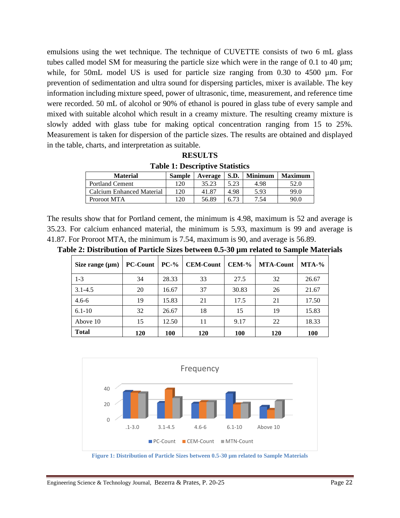emulsions using the wet technique. The technique of CUVETTE consists of two 6 mL glass tubes called model SM for measuring the particle size which were in the range of 0.1 to 40  $\mu$ m; while, for 50mL model US is used for particle size ranging from 0.30 to 4500  $\mu$ m. For prevention of sedimentation and ultra sound for dispersing particles, mixer is available. The key information including mixture speed, power of ultrasonic, time, measurement, and reference time were recorded. 50 mL of alcohol or 90% of ethanol is poured in glass tube of every sample and mixed with suitable alcohol which result in a creamy mixture. The resulting creamy mixture is slowly added with glass tube for making optical concentration ranging from 15 to 25%. Measurement is taken for dispersion of the particle sizes. The results are obtained and displayed in the table, charts, and interpretation as suitable.

| <b>RESULTS</b>                         |
|----------------------------------------|
| <b>Table 1: Descriptive Statistics</b> |

| <b>Material</b>           | <b>Sample</b>   | Average | <b>S.D.</b> | <b>Minimum</b> | <b>Maximum</b> |
|---------------------------|-----------------|---------|-------------|----------------|----------------|
| <b>Portland Cement</b>    | $\overline{20}$ | 35.23   | 5.23        | 4.98           | 52.0           |
| Calcium Enhanced Material | 120             | 41.87   | 4.98        | 5.93           | 99.0           |
| Proroot MTA               | 20              | 56.89   | 6.73        | 7.54           | 90.0           |

The results show that for Portland cement, the minimum is 4.98, maximum is 52 and average is 35.23. For calcium enhanced material, the minimum is 5.93, maximum is 99 and average is 41.87. For Proroot MTA, the minimum is 7.54, maximum is 90, and average is 56.89.

| Size range $(\mu m)$ | <b>PC-Count</b> | $PC-$ % | <b>CEM-Count</b> | $CEM-%$ | <b>MTA-Count</b> | $MTA-%$ |
|----------------------|-----------------|---------|------------------|---------|------------------|---------|
| $1 - 3$              | 34              | 28.33   | 33               | 27.5    | 32               | 26.67   |
| $3.1 - 4.5$          | 20              | 16.67   | 37               | 30.83   | 26               | 21.67   |
| $4.6 - 6$            | 19              | 15.83   | 21               | 17.5    | 21               | 17.50   |
| $6.1 - 10$           | 32              | 26.67   | 18               | 15      | 19               | 15.83   |
| Above 10             | 15              | 12.50   | 11               | 9.17    | 22               | 18.33   |
| <b>Total</b>         | 120             | 100     | <b>120</b>       | 100     | <b>120</b>       | 100     |

**Table 2: Distribution of Particle Sizes between 0.5-30 µm related to Sample Materials**



**Figure 1: Distribution of Particle Sizes between 0.5-30 µm related to Sample Materials**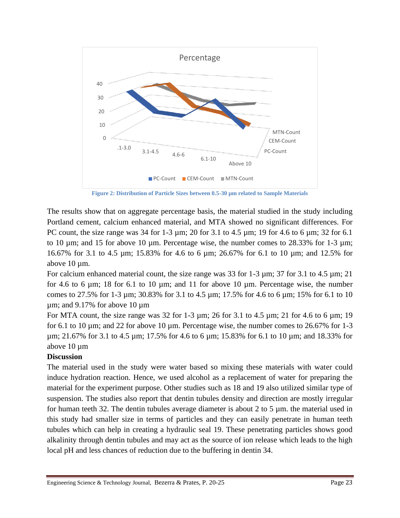

**Figure 2: Distribution of Particle Sizes between 0.5-30 µm related to Sample Materials**

The results show that on aggregate percentage basis, the material studied in the study including Portland cement, calcium enhanced material, and MTA showed no significant differences. For PC count, the size range was  $34$  for  $1-3 \mu m$ ;  $20$  for  $3.1$  to  $4.5 \mu m$ ;  $19$  for  $4.6$  to  $6 \mu m$ ;  $32$  for  $6.1$ to 10  $\mu$ m; and 15 for above 10  $\mu$ m. Percentage wise, the number comes to 28.33% for 1-3  $\mu$ m; 16.67% for 3.1 to 4.5 µm; 15.83% for 4.6 to 6 µm; 26.67% for 6.1 to 10 µm; and 12.5% for above 10  $\mu$ m.

For calcium enhanced material count, the size range was 33 for 1-3 µm; 37 for 3.1 to 4.5 µm; 21 for 4.6 to 6  $\mu$ m; 18 for 6.1 to 10  $\mu$ m; and 11 for above 10  $\mu$ m. Percentage wise, the number comes to 27.5% for 1-3 µm; 30.83% for 3.1 to 4.5 µm; 17.5% for 4.6 to 6 µm; 15% for 6.1 to 10  $\mu$ m; and 9.17% for above 10  $\mu$ m

For MTA count, the size range was 32 for 1-3  $\mu$ m; 26 for 3.1 to 4.5  $\mu$ m; 21 for 4.6 to 6  $\mu$ m; 19 for 6.1 to 10  $\mu$ m; and 22 for above 10  $\mu$ m. Percentage wise, the number comes to 26.67% for 1-3 µm; 21.67% for 3.1 to 4.5 µm; 17.5% for 4.6 to 6 µm; 15.83% for 6.1 to 10 µm; and 18.33% for above 10 um

## **Discussion**

The material used in the study were water based so mixing these materials with water could induce hydration reaction. Hence, we used alcohol as a replacement of water for preparing the material for the experiment purpose. Other studies such as 18 and 19 also utilized similar type of suspension. The studies also report that dentin tubules density and direction are mostly irregular for human teeth 32. The dentin tubules average diameter is about 2 to 5  $\mu$ m. the material used in this study had smaller size in terms of particles and they can easily penetrate in human teeth tubules which can help in creating a hydraulic seal 19. These penetrating particles shows good alkalinity through dentin tubules and may act as the source of ion release which leads to the high local pH and less chances of reduction due to the buffering in dentin 34.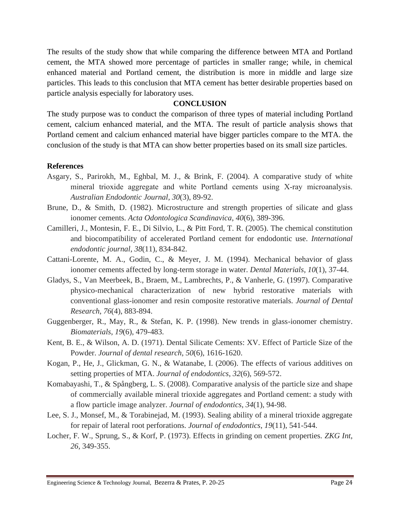The results of the study show that while comparing the difference between MTA and Portland cement, the MTA showed more percentage of particles in smaller range; while, in chemical enhanced material and Portland cement, the distribution is more in middle and large size particles. This leads to this conclusion that MTA cement has better desirable properties based on particle analysis especially for laboratory uses.

#### **CONCLUSION**

The study purpose was to conduct the comparison of three types of material including Portland cement, calcium enhanced material, and the MTA. The result of particle analysis shows that Portland cement and calcium enhanced material have bigger particles compare to the MTA. the conclusion of the study is that MTA can show better properties based on its small size particles.

#### **References**

- Asgary, S., Parirokh, M., Eghbal, M. J., & Brink, F. (2004). A comparative study of white mineral trioxide aggregate and white Portland cements using X‐ray microanalysis. *Australian Endodontic Journal*, *30*(3), 89-92.
- Brune, D., & Smith, D. (1982). Microstructure and strength properties of silicate and glass ionomer cements. *Acta Odontologica Scandinavica*, *40*(6), 389-396.
- Camilleri, J., Montesin, F. E., Di Silvio, L., & Pitt Ford, T. R. (2005). The chemical constitution and biocompatibility of accelerated Portland cement for endodontic use. *International endodontic journal*, *38*(11), 834-842.
- Cattani-Lorente, M. A., Godin, C., & Meyer, J. M. (1994). Mechanical behavior of glass ionomer cements affected by long-term storage in water. *Dental Materials*, *10*(1), 37-44.
- Gladys, S., Van Meerbeek, B., Braem, M., Lambrechts, P., & Vanherle, G. (1997). Comparative physico-mechanical characterization of new hybrid restorative materials with conventional glass-ionomer and resin composite restorative materials. *Journal of Dental Research*, *76*(4), 883-894.
- Guggenberger, R., May, R., & Stefan, K. P. (1998). New trends in glass-ionomer chemistry. *Biomaterials*, *19*(6), 479-483.
- Kent, B. E., & Wilson, A. D. (1971). Dental Silicate Cements: XV. Effect of Particle Size of the Powder. *Journal of dental research*, *50*(6), 1616-1620.
- Kogan, P., He, J., Glickman, G. N., & Watanabe, I. (2006). The effects of various additives on setting properties of MTA. *Journal of endodontics*, *32*(6), 569-572.
- Komabayashi, T., & Spångberg, L. S. (2008). Comparative analysis of the particle size and shape of commercially available mineral trioxide aggregates and Portland cement: a study with a flow particle image analyzer. *Journal of endodontics*, *34*(1), 94-98.
- Lee, S. J., Monsef, M., & Torabinejad, M. (1993). Sealing ability of a mineral trioxide aggregate for repair of lateral root perforations. *Journal of endodontics*, *19*(11), 541-544.
- Locher, F. W., Sprung, S., & Korf, P. (1973). Effects in grinding on cement properties. *ZKG Int*, *26*, 349-355.